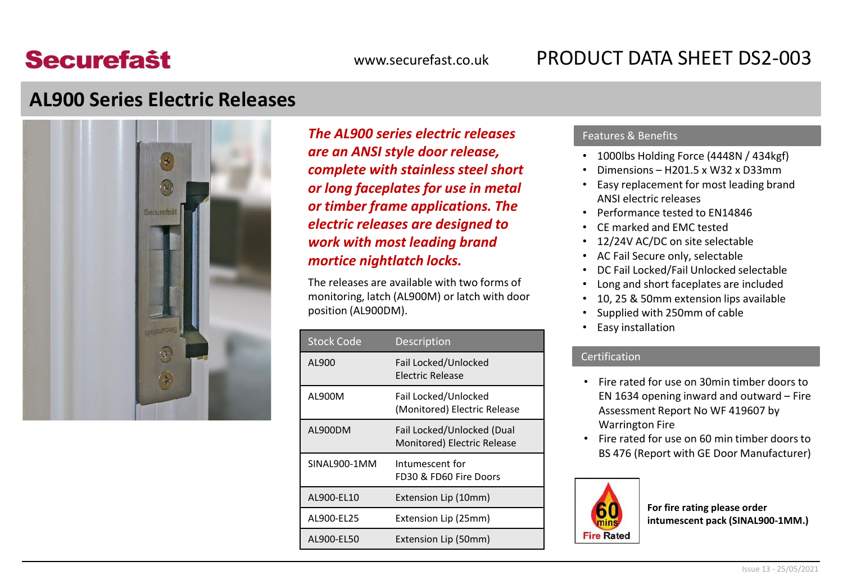# **Securefast**

## www.securefast.co.uk PRODUCT DATA SHEET DS2-003

### **AL900 Series Electric Releases**



*The AL900 series electric releases are an ANSI style door release, complete with stainless steel short or long faceplates for use in metal or timber frame applications. The electric releases are designed to work with most leading brand mortice nightlatch locks.*

The releases are available with two forms of monitoring, latch (AL900M) or latch with door position (AL900DM).

| <b>Stock Code</b> | Description                                               |  |
|-------------------|-----------------------------------------------------------|--|
| AL900             | Fail Locked/Unlocked<br><b>Flectric Release</b>           |  |
| AL900M            | Fail Locked/Unlocked<br>(Monitored) Electric Release      |  |
| AL900DM           | Fail Locked/Unlocked (Dual<br>Monitored) Electric Release |  |
| SINAL900-1MM      | Intumescent for<br>FD30 & FD60 Fire Doors                 |  |
| AL900-EL10        | Extension Lip (10mm)                                      |  |
| AL900-EL25        | Extension Lip (25mm)                                      |  |
| AL900-EL50        | Extension Lip (50mm)                                      |  |

#### Features & Benefits

- 1000lbs Holding Force (4448N / 434kgf)
- Dimensions H201.5 x W32 x D33mm
- Easy replacement for most leading brand ANSI electric releases
- Performance tested to EN14846
- CE marked and EMC tested
- 12/24V AC/DC on site selectable
- AC Fail Secure only, selectable
- DC Fail Locked/Fail Unlocked selectable
- Long and short faceplates are included
- 10, 25 & 50mm extension lips available
- Supplied with 250mm of cable
- Easy installation

#### Certification

- Fire rated for use on 30min timber doors to EN 1634 opening inward and outward – Fire Assessment Report No WF 419607 by Warrington Fire
- Fire rated for use on 60 min timber doors to BS 476 (Report with GE Door Manufacturer)



**For fire rating please order intumescent pack (SINAL900-1MM.)**